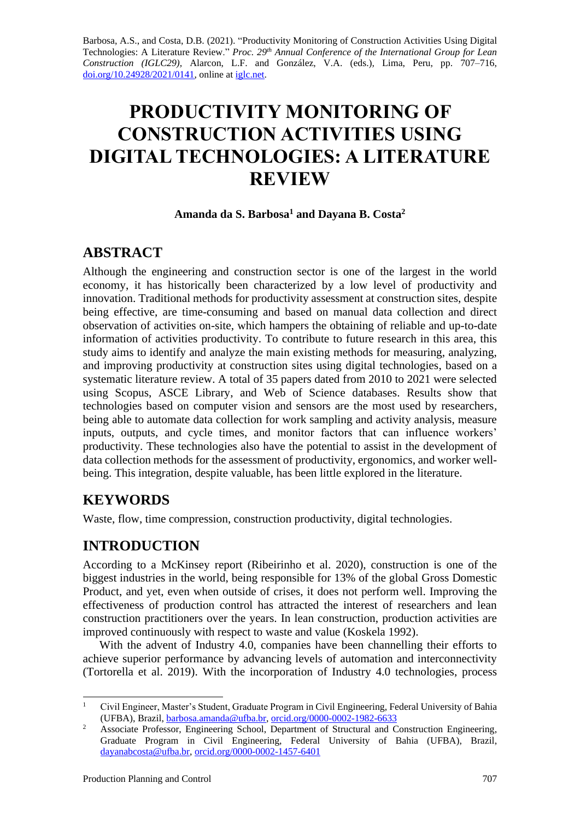Barbosa, A.S., and Costa, D.B. (2021). "Productivity Monitoring of Construction Activities Using Digital Technologies: A Literature Review." *Proc. 29 th Annual Conference of the International Group for Lean Construction (IGLC29),* Alarcon, L.F. and González, V.A. (eds.)*,* Lima, Peru, pp. 707–716, [doi.org/10.24928/2021/0141,](https://doi.org/10.24928/2021/0141) online a[t iglc.net.](https://www.iglc.net/)

# **PRODUCTIVITY MONITORING OF CONSTRUCTION ACTIVITIES USING DIGITAL TECHNOLOGIES: A LITERATURE REVIEW**

#### **Amanda da S. Barbosa<sup>1</sup> and Dayana B. Costa<sup>2</sup>**

## **ABSTRACT**

Although the engineering and construction sector is one of the largest in the world economy, it has historically been characterized by a low level of productivity and innovation. Traditional methods for productivity assessment at construction sites, despite being effective, are time-consuming and based on manual data collection and direct observation of activities on-site, which hampers the obtaining of reliable and up-to-date information of activities productivity. To contribute to future research in this area, this study aims to identify and analyze the main existing methods for measuring, analyzing, and improving productivity at construction sites using digital technologies, based on a systematic literature review. A total of 35 papers dated from 2010 to 2021 were selected using Scopus, ASCE Library, and Web of Science databases. Results show that technologies based on computer vision and sensors are the most used by researchers, being able to automate data collection for work sampling and activity analysis, measure inputs, outputs, and cycle times, and monitor factors that can influence workers' productivity. These technologies also have the potential to assist in the development of data collection methods for the assessment of productivity, ergonomics, and worker wellbeing. This integration, despite valuable, has been little explored in the literature.

# **KEYWORDS**

Waste, flow, time compression, construction productivity, digital technologies.

# **INTRODUCTION**

According to a McKinsey report (Ribeirinho et al. 2020), construction is one of the biggest industries in the world, being responsible for 13% of the global Gross Domestic Product, and yet, even when outside of crises, it does not perform well. Improving the effectiveness of production control has attracted the interest of researchers and lean construction practitioners over the years. In lean construction, production activities are improved continuously with respect to waste and value (Koskela 1992).

With the advent of Industry 4.0, companies have been channelling their efforts to achieve superior performance by advancing levels of automation and interconnectivity (Tortorella et al. 2019). With the incorporation of Industry 4.0 technologies, process

<sup>1</sup> Civil Engineer, Master's Student, Graduate Program in Civil Engineering, Federal University of Bahia (UFBA), Brazil, [barbosa.amanda@ufba.br,](mailto:barbosa.amanda@ufba.br) [orcid.org/0000-0002-1982-6633](https://orcid.org/0000-0002-1982-6633)

<sup>&</sup>lt;sup>2</sup> Associate Professor, Engineering School, Department of Structural and Construction Engineering, Graduate Program in Civil Engineering, Federal University of Bahia (UFBA), Brazil, [dayanabcosta@ufba.br,](mailto:dayanabcosta@ufba.br) [orcid.org/0000-0002-1457-6401](https://orcid.org/0000-0002-1457-6401)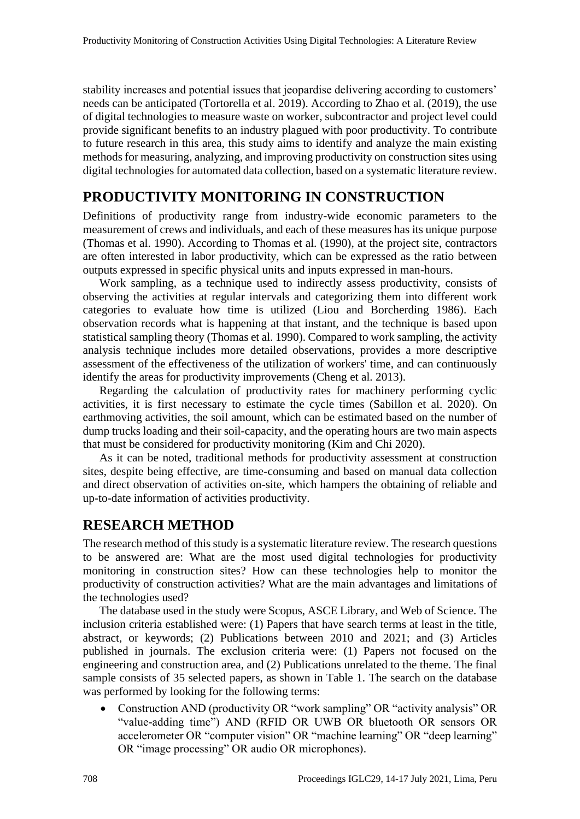stability increases and potential issues that jeopardise delivering according to customers' needs can be anticipated (Tortorella et al. 2019). According to Zhao et al. (2019), the use of digital technologies to measure waste on worker, subcontractor and project level could provide significant benefits to an industry plagued with poor productivity. To contribute to future research in this area, this study aims to identify and analyze the main existing methods for measuring, analyzing, and improving productivity on construction sites using digital technologies for automated data collection, based on a systematic literature review.

# **PRODUCTIVITY MONITORING IN CONSTRUCTION**

Definitions of productivity range from industry-wide economic parameters to the measurement of crews and individuals, and each of these measures has its unique purpose (Thomas et al. 1990). According to Thomas et al. (1990), at the project site, contractors are often interested in labor productivity, which can be expressed as the ratio between outputs expressed in specific physical units and inputs expressed in man-hours.

Work sampling, as a technique used to indirectly assess productivity, consists of observing the activities at regular intervals and categorizing them into different work categories to evaluate how time is utilized (Liou and Borcherding 1986). Each observation records what is happening at that instant, and the technique is based upon statistical sampling theory (Thomas et al. 1990). Compared to work sampling, the activity analysis technique includes more detailed observations, provides a more descriptive assessment of the effectiveness of the utilization of workers' time, and can continuously identify the areas for productivity improvements (Cheng et al. 2013).

Regarding the calculation of productivity rates for machinery performing cyclic activities, it is first necessary to estimate the cycle times (Sabillon et al. 2020). On earthmoving activities, the soil amount, which can be estimated based on the number of dump trucks loading and their soil-capacity, and the operating hours are two main aspects that must be considered for productivity monitoring (Kim and Chi 2020).

As it can be noted, traditional methods for productivity assessment at construction sites, despite being effective, are time-consuming and based on manual data collection and direct observation of activities on-site, which hampers the obtaining of reliable and up-to-date information of activities productivity.

# **RESEARCH METHOD**

The research method of this study is a systematic literature review. The research questions to be answered are: What are the most used digital technologies for productivity monitoring in construction sites? How can these technologies help to monitor the productivity of construction activities? What are the main advantages and limitations of the technologies used?

The database used in the study were Scopus, ASCE Library, and Web of Science. The inclusion criteria established were: (1) Papers that have search terms at least in the title, abstract, or keywords; (2) Publications between 2010 and 2021; and (3) Articles published in journals. The exclusion criteria were: (1) Papers not focused on the engineering and construction area, and (2) Publications unrelated to the theme. The final sample consists of 35 selected papers, as shown in Table 1. The search on the database was performed by looking for the following terms:

• Construction AND (productivity OR "work sampling" OR "activity analysis" OR "value-adding time") AND (RFID OR UWB OR bluetooth OR sensors OR accelerometer OR "computer vision" OR "machine learning" OR "deep learning" OR "image processing" OR audio OR microphones).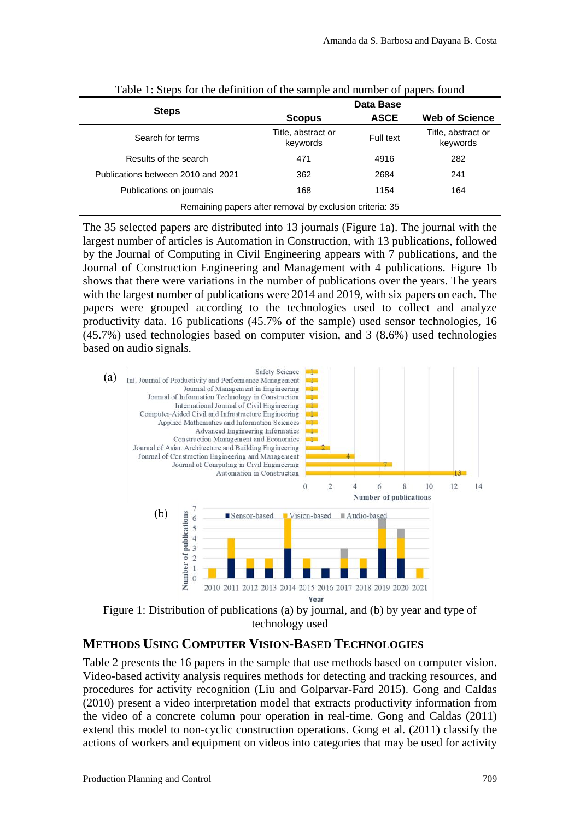|                                                          | Data Base                      |             |                                |  |
|----------------------------------------------------------|--------------------------------|-------------|--------------------------------|--|
| <b>Steps</b>                                             | <b>Scopus</b>                  | <b>ASCE</b> | <b>Web of Science</b>          |  |
| Search for terms                                         | Title, abstract or<br>keywords | Full text   | Title, abstract or<br>keywords |  |
| Results of the search                                    | 471                            | 4916        | 282                            |  |
| Publications between 2010 and 2021                       | 362                            | 2684        | 241                            |  |
| Publications on journals                                 | 168                            | 1154        | 164                            |  |
| Remaining papers after removal by exclusion criteria: 35 |                                |             |                                |  |

Table 1: Steps for the definition of the sample and number of papers found

The 35 selected papers are distributed into 13 journals (Figure 1a). The journal with the largest number of articles is Automation in Construction, with 13 publications, followed by the Journal of Computing in Civil Engineering appears with 7 publications, and the Journal of Construction Engineering and Management with 4 publications. Figure 1b shows that there were variations in the number of publications over the years. The years with the largest number of publications were 2014 and 2019, with six papers on each. The papers were grouped according to the technologies used to collect and analyze productivity data. 16 publications (45.7% of the sample) used sensor technologies, 16 (45.7%) used technologies based on computer vision, and 3 (8.6%) used technologies based on audio signals.



Figure 1: Distribution of publications (a) by journal, and (b) by year and type of technology used

### **METHODS USING COMPUTER VISION-BASED TECHNOLOGIES**

Table 2 presents the 16 papers in the sample that use methods based on computer vision. Video-based activity analysis requires methods for detecting and tracking resources, and procedures for activity recognition (Liu and Golparvar-Fard 2015). Gong and Caldas (2010) present a video interpretation model that extracts productivity information from the video of a concrete column pour operation in real-time. Gong and Caldas (2011) extend this model to non-cyclic construction operations. Gong et al. (2011) classify the actions of workers and equipment on videos into categories that may be used for activity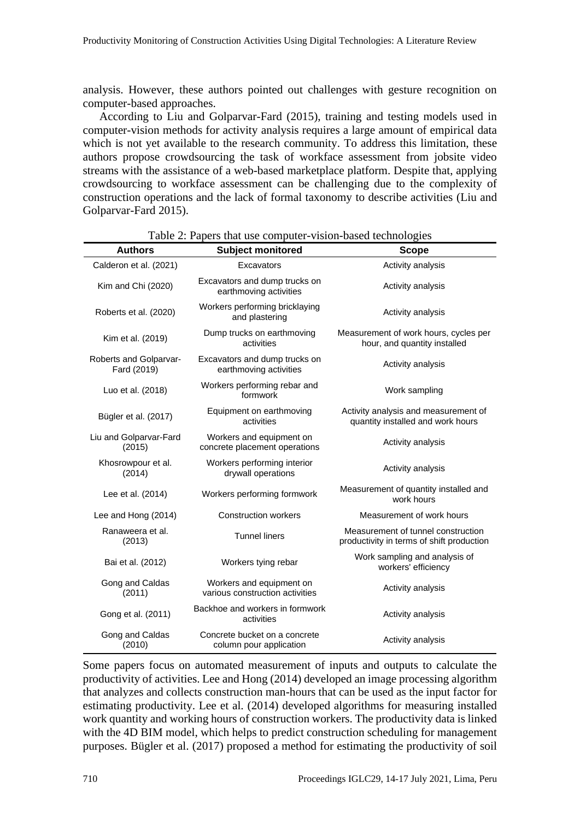analysis. However, these authors pointed out challenges with gesture recognition on computer-based approaches.

According to Liu and Golparvar-Fard (2015), training and testing models used in computer-vision methods for activity analysis requires a large amount of empirical data which is not yet available to the research community. To address this limitation, these authors propose crowdsourcing the task of workface assessment from jobsite video streams with the assistance of a web-based marketplace platform. Despite that, applying crowdsourcing to workface assessment can be challenging due to the complexity of construction operations and the lack of formal taxonomy to describe activities (Liu and Golparvar-Fard 2015).

| <b>Authors</b>                        | <b>Subject monitored</b>                                    | <b>Scope</b>                                                                    |  |
|---------------------------------------|-------------------------------------------------------------|---------------------------------------------------------------------------------|--|
| Calderon et al. (2021)                | Excavators                                                  | Activity analysis                                                               |  |
| Kim and Chi (2020)                    | Excavators and dump trucks on<br>earthmoving activities     | Activity analysis                                                               |  |
| Roberts et al. (2020)                 | Workers performing bricklaying<br>and plastering            | Activity analysis                                                               |  |
| Kim et al. (2019)                     | Dump trucks on earthmoving<br>activities                    | Measurement of work hours, cycles per<br>hour, and quantity installed           |  |
| Roberts and Golparvar-<br>Fard (2019) | Excavators and dump trucks on<br>earthmoving activities     | Activity analysis                                                               |  |
| Luo et al. (2018)                     | Workers performing rebar and<br>formwork                    | Work sampling                                                                   |  |
| Bügler et al. (2017)                  | Equipment on earthmoving<br>activities                      | Activity analysis and measurement of<br>quantity installed and work hours       |  |
| Liu and Golparvar-Fard<br>(2015)      | Workers and equipment on<br>concrete placement operations   | Activity analysis                                                               |  |
| Khosrowpour et al.<br>(2014)          | Workers performing interior<br>drywall operations           | Activity analysis                                                               |  |
| Lee et al. (2014)                     | Workers performing formwork                                 | Measurement of quantity installed and<br>work hours                             |  |
| Lee and Hong (2014)                   | <b>Construction workers</b>                                 | Measurement of work hours                                                       |  |
| Ranaweera et al.<br>(2013)            | <b>Tunnel liners</b>                                        | Measurement of tunnel construction<br>productivity in terms of shift production |  |
| Bai et al. (2012)                     | Workers tying rebar                                         | Work sampling and analysis of<br>workers' efficiency                            |  |
| Gong and Caldas<br>(2011)             | Workers and equipment on<br>various construction activities | Activity analysis                                                               |  |
| Gong et al. (2011)                    | Backhoe and workers in formwork<br>activities               | Activity analysis                                                               |  |
| Gong and Caldas<br>(2010)             | Concrete bucket on a concrete<br>column pour application    | Activity analysis                                                               |  |

Table 2: Papers that use computer-vision-based technologies

Some papers focus on automated measurement of inputs and outputs to calculate the productivity of activities. Lee and Hong (2014) developed an image processing algorithm that analyzes and collects construction man-hours that can be used as the input factor for estimating productivity. Lee et al. (2014) developed algorithms for measuring installed work quantity and working hours of construction workers. The productivity data is linked with the 4D BIM model, which helps to predict construction scheduling for management purposes. Bügler et al. (2017) proposed a method for estimating the productivity of soil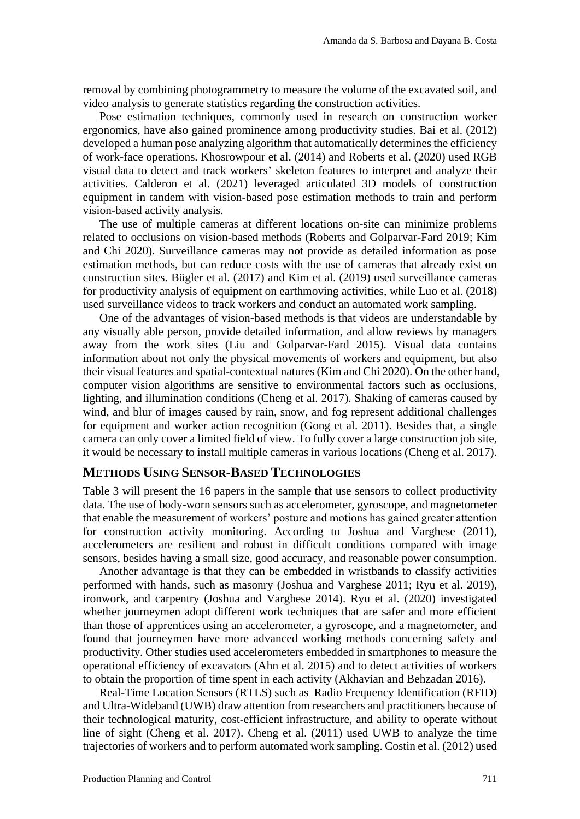removal by combining photogrammetry to measure the volume of the excavated soil, and video analysis to generate statistics regarding the construction activities.

Pose estimation techniques, commonly used in research on construction worker ergonomics, have also gained prominence among productivity studies. Bai et al. (2012) developed a human pose analyzing algorithm that automatically determines the efficiency of work-face operations. Khosrowpour et al. (2014) and Roberts et al. (2020) used RGB visual data to detect and track workers' skeleton features to interpret and analyze their activities. Calderon et al. (2021) leveraged articulated 3D models of construction equipment in tandem with vision-based pose estimation methods to train and perform vision-based activity analysis.

The use of multiple cameras at different locations on-site can minimize problems related to occlusions on vision-based methods (Roberts and Golparvar-Fard 2019; Kim and Chi 2020). Surveillance cameras may not provide as detailed information as pose estimation methods, but can reduce costs with the use of cameras that already exist on construction sites. Bügler et al. (2017) and Kim et al. (2019) used surveillance cameras for productivity analysis of equipment on earthmoving activities, while Luo et al. (2018) used surveillance videos to track workers and conduct an automated work sampling.

One of the advantages of vision-based methods is that videos are understandable by any visually able person, provide detailed information, and allow reviews by managers away from the work sites (Liu and Golparvar-Fard 2015). Visual data contains information about not only the physical movements of workers and equipment, but also their visual features and spatial-contextual natures (Kim and Chi 2020). On the other hand, computer vision algorithms are sensitive to environmental factors such as occlusions, lighting, and illumination conditions (Cheng et al. 2017). Shaking of cameras caused by wind, and blur of images caused by rain, snow, and fog represent additional challenges for equipment and worker action recognition (Gong et al. 2011). Besides that, a single camera can only cover a limited field of view. To fully cover a large construction job site, it would be necessary to install multiple cameras in various locations (Cheng et al. 2017).

#### **METHODS USING SENSOR-BASED TECHNOLOGIES**

Table 3 will present the 16 papers in the sample that use sensors to collect productivity data. The use of body-worn sensors such as accelerometer, gyroscope, and magnetometer that enable the measurement of workers' posture and motions has gained greater attention for construction activity monitoring. According to Joshua and Varghese (2011), accelerometers are resilient and robust in difficult conditions compared with image sensors, besides having a small size, good accuracy, and reasonable power consumption.

Another advantage is that they can be embedded in wristbands to classify activities performed with hands, such as masonry (Joshua and Varghese 2011; Ryu et al. 2019), ironwork, and carpentry (Joshua and Varghese 2014). Ryu et al. (2020) investigated whether journeymen adopt different work techniques that are safer and more efficient than those of apprentices using an accelerometer, a gyroscope, and a magnetometer, and found that journeymen have more advanced working methods concerning safety and productivity. Other studies used accelerometers embedded in smartphones to measure the operational efficiency of excavators (Ahn et al. 2015) and to detect activities of workers to obtain the proportion of time spent in each activity (Akhavian and Behzadan 2016).

Real-Time Location Sensors (RTLS) such as Radio Frequency Identification (RFID) and Ultra-Wideband (UWB) draw attention from researchers and practitioners because of their technological maturity, cost-efficient infrastructure, and ability to operate without line of sight (Cheng et al. 2017). Cheng et al. (2011) used UWB to analyze the time trajectories of workers and to perform automated work sampling. Costin et al. (2012) used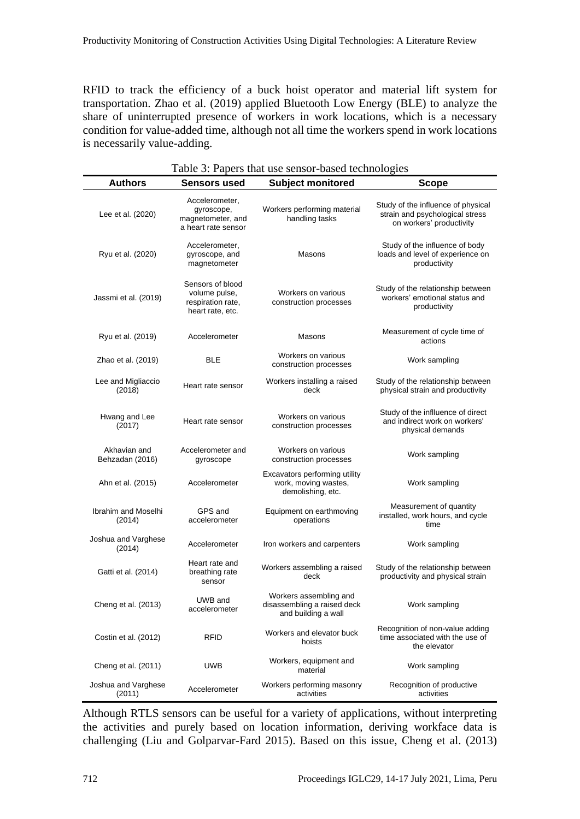RFID to track the efficiency of a buck hoist operator and material lift system for transportation. Zhao et al. (2019) applied Bluetooth Low Energy (BLE) to analyze the share of uninterrupted presence of workers in work locations, which is a necessary condition for value-added time, although not all time the workers spend in work locations is necessarily value-adding.

| Table 3: Papers that use sensor-based technologies |                                                                            |                                                                              |                                                                                                   |  |  |
|----------------------------------------------------|----------------------------------------------------------------------------|------------------------------------------------------------------------------|---------------------------------------------------------------------------------------------------|--|--|
| <b>Authors</b>                                     | <b>Sensors used</b>                                                        | <b>Subject monitored</b>                                                     | <b>Scope</b>                                                                                      |  |  |
| Lee et al. (2020)                                  | Accelerometer,<br>gyroscope,<br>magnetometer, and<br>a heart rate sensor   | Workers performing material<br>handling tasks                                | Study of the influence of physical<br>strain and psychological stress<br>on workers' productivity |  |  |
| Ryu et al. (2020)                                  | Accelerometer,<br>gyroscope, and<br>magnetometer                           | Masons                                                                       | Study of the influence of body<br>loads and level of experience on<br>productivity                |  |  |
| Jassmi et al. (2019)                               | Sensors of blood<br>volume pulse,<br>respiration rate,<br>heart rate, etc. | Workers on various<br>construction processes                                 | Study of the relationship between<br>workers' emotional status and<br>productivity                |  |  |
| Ryu et al. (2019)                                  | Accelerometer                                                              | Masons                                                                       | Measurement of cycle time of<br>actions                                                           |  |  |
| Zhao et al. (2019)                                 | <b>BLE</b>                                                                 | Workers on various<br>construction processes                                 | Work sampling                                                                                     |  |  |
| Lee and Migliaccio<br>(2018)                       | Heart rate sensor                                                          | Workers installing a raised<br>deck                                          | Study of the relationship between<br>physical strain and productivity                             |  |  |
| Hwang and Lee<br>(2017)                            | Heart rate sensor                                                          | Workers on various<br>construction processes                                 | Study of the inflluence of direct<br>and indirect work on workers'<br>physical demands            |  |  |
| Akhavian and<br>Behzadan (2016)                    | Accelerometer and<br>gyroscope                                             | Workers on various<br>construction processes                                 | Work sampling                                                                                     |  |  |
| Ahn et al. (2015)                                  | Accelerometer                                                              | Excavators performing utility<br>work, moving wastes,<br>demolishing, etc.   | Work sampling                                                                                     |  |  |
| Ibrahim and Moselhi<br>(2014)                      | GPS and<br>accelerometer                                                   | Equipment on earthmoving<br>operations                                       | Measurement of quantity<br>installed, work hours, and cycle<br>time                               |  |  |
| Joshua and Varghese<br>(2014)                      | Accelerometer                                                              | Iron workers and carpenters                                                  | Work sampling                                                                                     |  |  |
| Gatti et al. (2014)                                | Heart rate and<br>breathing rate<br>sensor                                 | Workers assembling a raised<br>deck                                          | Study of the relationship between<br>productivity and physical strain                             |  |  |
| Cheng et al. (2013)                                | UWB and<br>accelerometer                                                   | Workers assembling and<br>disassembling a raised deck<br>and building a wall | Work sampling                                                                                     |  |  |
| Costin et al. (2012)                               | RFID                                                                       | Workers and elevator buck<br>hoists                                          | Recognition of non-value adding<br>time associated with the use of<br>the elevator                |  |  |
| Cheng et al. (2011)                                | UWB                                                                        | Workers, equipment and<br>material                                           | Work sampling                                                                                     |  |  |
| Joshua and Varghese<br>(2011)                      | Accelerometer                                                              | Workers performing masonry<br>activities                                     | Recognition of productive<br>activities                                                           |  |  |

Although RTLS sensors can be useful for a variety of applications, without interpreting the activities and purely based on location information, deriving workface data is challenging (Liu and Golparvar-Fard 2015). Based on this issue, Cheng et al. (2013)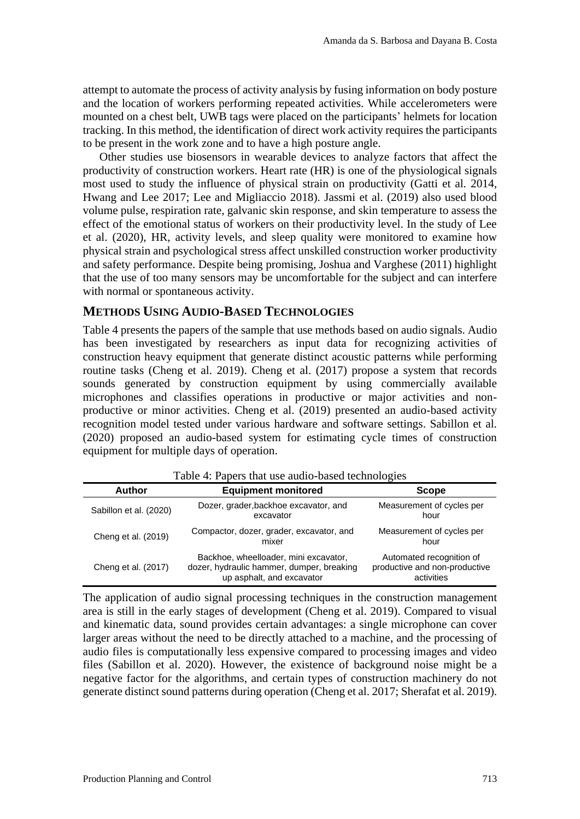attempt to automate the process of activity analysis by fusing information on body posture and the location of workers performing repeated activities. While accelerometers were mounted on a chest belt, UWB tags were placed on the participants' helmets for location tracking. In this method, the identification of direct work activity requires the participants to be present in the work zone and to have a high posture angle.

Other studies use biosensors in wearable devices to analyze factors that affect the productivity of construction workers. Heart rate (HR) is one of the physiological signals most used to study the influence of physical strain on productivity (Gatti et al. 2014, Hwang and Lee 2017; Lee and Migliaccio 2018). Jassmi et al. (2019) also used blood volume pulse, respiration rate, galvanic skin response, and skin temperature to assess the effect of the emotional status of workers on their productivity level. In the study of Lee et al. (2020), HR, activity levels, and sleep quality were monitored to examine how physical strain and psychological stress affect unskilled construction worker productivity and safety performance. Despite being promising, Joshua and Varghese (2011) highlight that the use of too many sensors may be uncomfortable for the subject and can interfere with normal or spontaneous activity.

#### **METHODS USING AUDIO-BASED TECHNOLOGIES**

Table 4 presents the papers of the sample that use methods based on audio signals. Audio has been investigated by researchers as input data for recognizing activities of construction heavy equipment that generate distinct acoustic patterns while performing routine tasks (Cheng et al. 2019). Cheng et al. (2017) propose a system that records sounds generated by construction equipment by using commercially available microphones and classifies operations in productive or major activities and nonproductive or minor activities. Cheng et al. (2019) presented an audio-based activity recognition model tested under various hardware and software settings. Sabillon et al. (2020) proposed an audio-based system for estimating cycle times of construction equipment for multiple days of operation.

| <b>Author</b>                                                                                                                          | <b>Equipment monitored</b>                         |                                                                         |
|----------------------------------------------------------------------------------------------------------------------------------------|----------------------------------------------------|-------------------------------------------------------------------------|
| Sabillon et al. (2020)                                                                                                                 | Dozer, grader, backhoe excavator, and<br>excavator | Measurement of cycles per<br>hour                                       |
| Cheng et al. (2019)                                                                                                                    | Compactor, dozer, grader, excavator, and<br>mixer  | Measurement of cycles per<br>hour                                       |
| Backhoe, wheelloader, mini excavator,<br>dozer, hydraulic hammer, dumper, breaking<br>Cheng et al. (2017)<br>up asphalt, and excavator |                                                    | Automated recognition of<br>productive and non-productive<br>activities |

Table  $\Lambda$ : Papers that use audio-based technologies

The application of audio signal processing techniques in the construction management area is still in the early stages of development (Cheng et al. 2019). Compared to visual and kinematic data, sound provides certain advantages: a single microphone can cover larger areas without the need to be directly attached to a machine, and the processing of audio files is computationally less expensive compared to processing images and video files (Sabillon et al. 2020). However, the existence of background noise might be a negative factor for the algorithms, and certain types of construction machinery do not generate distinct sound patterns during operation (Cheng et al. 2017; Sherafat et al. 2019).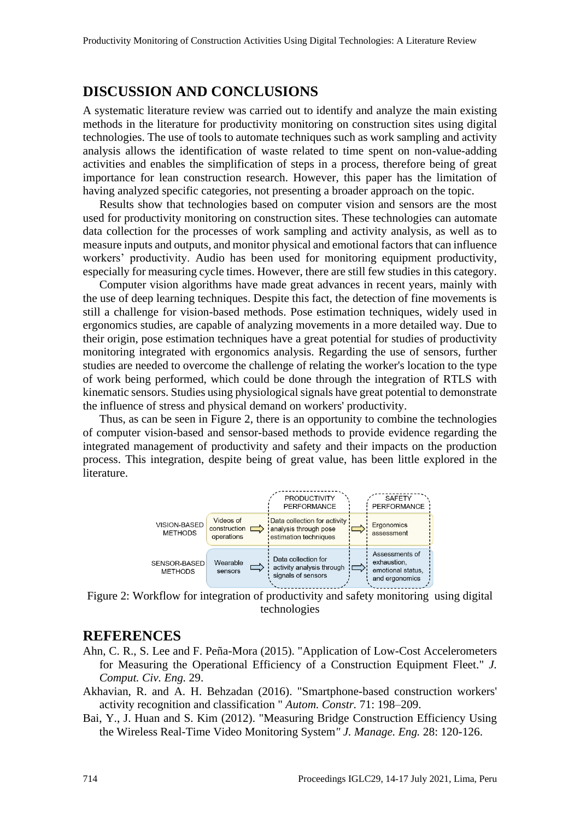#### **DISCUSSION AND CONCLUSIONS**

A systematic literature review was carried out to identify and analyze the main existing methods in the literature for productivity monitoring on construction sites using digital technologies. The use of tools to automate techniques such as work sampling and activity analysis allows the identification of waste related to time spent on non-value-adding activities and enables the simplification of steps in a process, therefore being of great importance for lean construction research. However, this paper has the limitation of having analyzed specific categories, not presenting a broader approach on the topic.

Results show that technologies based on computer vision and sensors are the most used for productivity monitoring on construction sites. These technologies can automate data collection for the processes of work sampling and activity analysis, as well as to measure inputs and outputs, and monitor physical and emotional factors that can influence workers' productivity. Audio has been used for monitoring equipment productivity, especially for measuring cycle times. However, there are still few studies in this category.

Computer vision algorithms have made great advances in recent years, mainly with the use of deep learning techniques. Despite this fact, the detection of fine movements is still a challenge for vision-based methods. Pose estimation techniques, widely used in ergonomics studies, are capable of analyzing movements in a more detailed way. Due to their origin, pose estimation techniques have a great potential for studies of productivity monitoring integrated with ergonomics analysis. Regarding the use of sensors, further studies are needed to overcome the challenge of relating the worker's location to the type of work being performed, which could be done through the integration of RTLS with kinematic sensors. Studies using physiological signals have great potential to demonstrate the influence of stress and physical demand on workers' productivity.

Thus, as can be seen in Figure 2, there is an opportunity to combine the technologies of computer vision-based and sensor-based methods to provide evidence regarding the integrated management of productivity and safety and their impacts on the production process. This integration, despite being of great value, has been little explored in the literature.



Figure 2: Workflow for integration of productivity and safety monitoring using digital technologies

#### **REFERENCES**

- Ahn, C. R., S. Lee and F. Peña-Mora (2015). "Application of Low-Cost Accelerometers for Measuring the Operational Efficiency of a Construction Equipment Fleet." *J. Comput. Civ. Eng.* 29.
- Akhavian, R. and A. H. Behzadan (2016). "Smartphone-based construction workers' activity recognition and classification " *Autom. Constr.* 71: 198–209.
- Bai, Y., J. Huan and S. Kim (2012). "Measuring Bridge Construction Efficiency Using the Wireless Real-Time Video Monitoring System*" J. Manage. Eng.* 28: 120-126.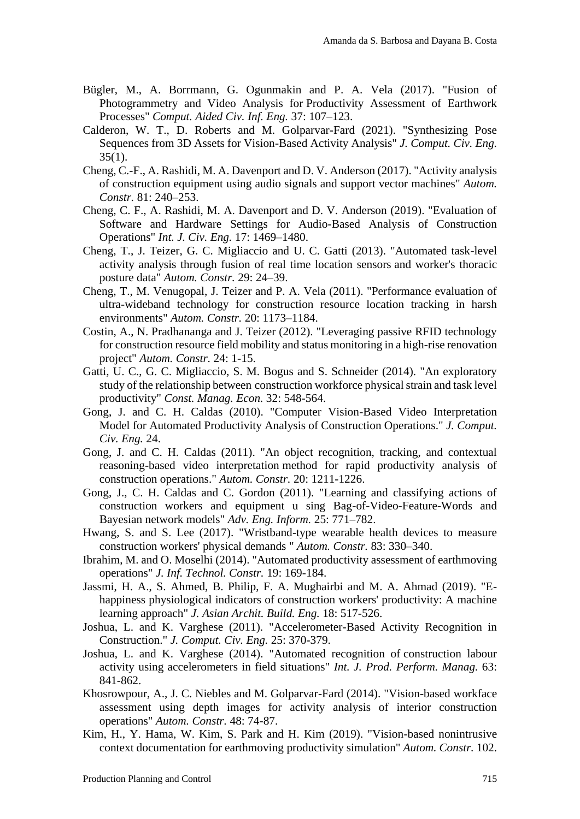- Bügler, M., A. Borrmann, G. Ogunmakin and P. A. Vela (2017). "Fusion of Photogrammetry and Video Analysis for Productivity Assessment of Earthwork Processes" *Comput. Aided Civ. Inf. Eng.* 37: 107–123.
- Calderon, W. T., D. Roberts and M. Golparvar-Fard (2021). "Synthesizing Pose Sequences from 3D Assets for Vision-Based Activity Analysis" *J. Comput. Civ. Eng.*   $35(1)$ .
- Cheng, C.-F., A. Rashidi, M. A. Davenport and D. V. Anderson (2017). "Activity analysis of construction equipment using audio signals and support vector machines" *Autom. Constr.* 81: 240–253.
- Cheng, C. F., A. Rashidi, M. A. Davenport and D. V. Anderson (2019). "Evaluation of Software and Hardware Settings for Audio-Based Analysis of Construction Operations" *Int. J. Civ. Eng.* 17: 1469–1480.
- Cheng, T., J. Teizer, G. C. Migliaccio and U. C. Gatti (2013). "Automated task-level activity analysis through fusion of real time location sensors and worker's thoracic posture data" *Autom. Constr.* 29: 24–39.
- Cheng, T., M. Venugopal, J. Teizer and P. A. Vela (2011). "Performance evaluation of ultra-wideband technology for construction resource location tracking in harsh environments" *Autom. Constr.* 20: 1173–1184.
- Costin, A., N. Pradhananga and J. Teizer (2012). "Leveraging passive RFID technology for construction resource field mobility and status monitoring in a high-rise renovation project" *Autom. Constr.* 24: 1-15.
- Gatti, U. C., G. C. Migliaccio, S. M. Bogus and S. Schneider (2014). "An exploratory study of the relationship between construction workforce physical strain and task level productivity" *Const. Manag. Econ.* 32: 548-564.
- Gong, J. and C. H. Caldas (2010). "Computer Vision-Based Video Interpretation Model for Automated Productivity Analysis of Construction Operations." *J. Comput. Civ. Eng.* 24.
- Gong, J. and C. H. Caldas (2011). "An object recognition, tracking, and contextual reasoning-based video interpretation method for rapid productivity analysis of construction operations." *Autom. Constr.* 20: 1211-1226.
- Gong, J., C. H. Caldas and C. Gordon (2011). "Learning and classifying actions of construction workers and equipment u sing Bag-of-Video-Feature-Words and Bayesian network models" *Adv. Eng. Inform.* 25: 771–782.
- Hwang, S. and S. Lee (2017). "Wristband-type wearable health devices to measure construction workers' physical demands " *Autom. Constr.* 83: 330–340.
- Ibrahim, M. and O. Moselhi (2014). "Automated productivity assessment of earthmoving operations" *J. Inf. Technol. Constr.* 19: 169-184.
- Jassmi, H. A., S. Ahmed, B. Philip, F. A. Mughairbi and M. A. Ahmad (2019). "Ehappiness physiological indicators of construction workers' productivity: A machine learning approach" *J. Asian Archit. Build. Eng.* 18: 517-526.
- Joshua, L. and K. Varghese (2011). "Accelerometer-Based Activity Recognition in Construction." *J. Comput. Civ. Eng.* 25: 370-379.
- Joshua, L. and K. Varghese (2014). "Automated recognition of construction labour activity using accelerometers in field situations" *Int. J. Prod. Perform. Manag.* 63: 841-862.
- Khosrowpour, A., J. C. Niebles and M. Golparvar-Fard (2014). "Vision-based workface assessment using depth images for activity analysis of interior construction operations" *Autom. Constr.* 48: 74-87.
- Kim, H., Y. Hama, W. Kim, S. Park and H. Kim (2019). "Vision-based nonintrusive context documentation for earthmoving productivity simulation" *Autom. Constr.* 102.